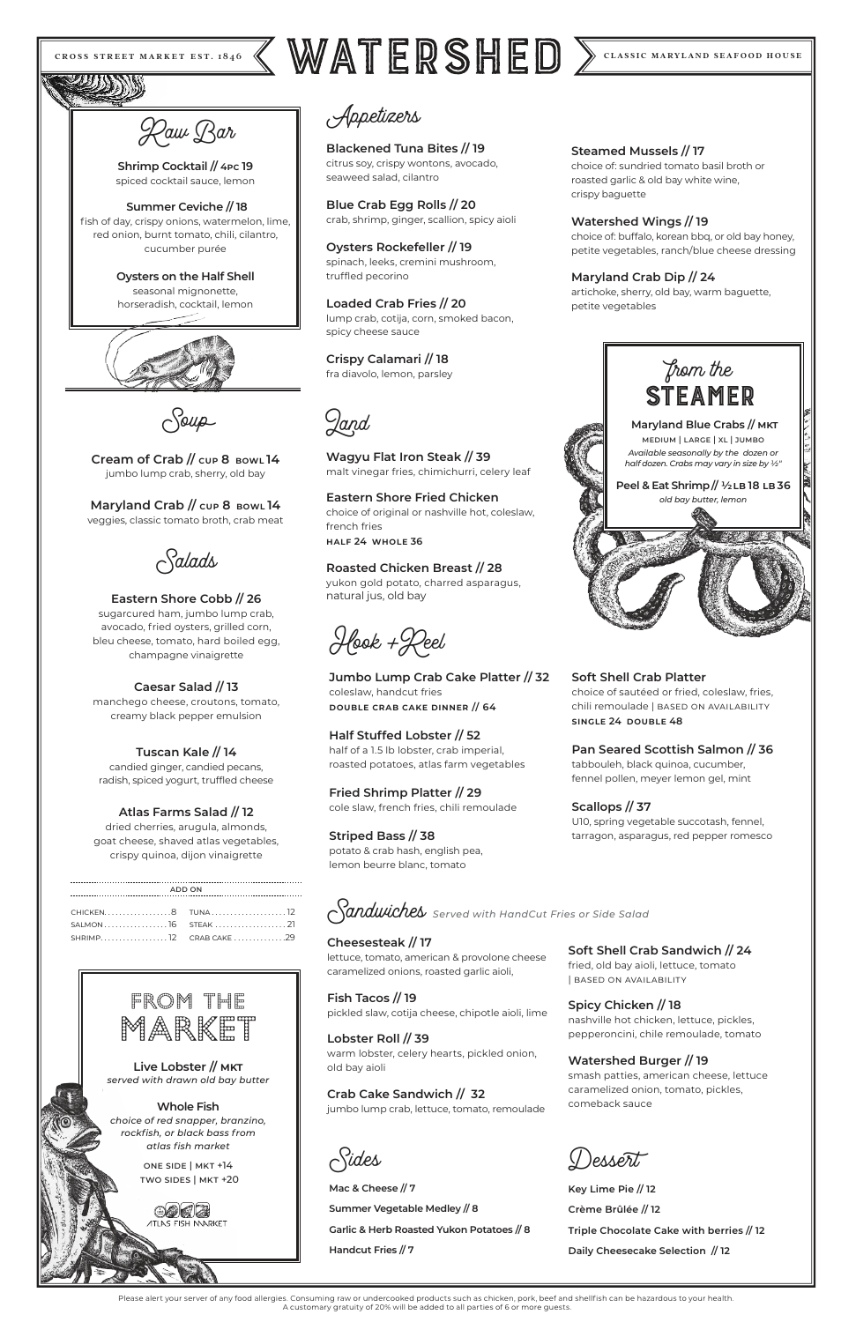# CROSS STREET MARKET EST. 1846 KWATERSHED  $\sum$  CLASSIC MARYLAND SEAFOOD HOUSE

Appetizers

**Blackened Tuna Bites // 19** citrus soy, crispy wontons, avocado, seaweed salad, cilantro

**Blue Crab Egg Rolls // 20** crab, shrimp, ginger, scallion, spicy aioli

**Oysters Rockefeller // 19** spinach, leeks, cremini mushroom, truffled pecorino

**Loaded Crab Fries // 20** lump crab, cotija, corn, smoked bacon, spicy cheese sauce

**Crispy Calamari // 18** fra diavolo, lemon, parsley

#### **Steamed Mussels // 17**

choice of: sundried tomato basil broth or roasted garlic & old bay white wine, crispy baguette

#### **Watershed Wings // 19**

choice of: buffalo, korean bbq, or old bay honey, petite vegetables, ranch/blue cheese dressing

#### **Maryland Crab Dip // 24**

artichoke, sherry, old bay, warm baguette, petite vegetables

Hook +Reel

**Jumbo Lump Crab Cake Platter // 32** coleslaw, handcut fries **double crab cake dinner // 64** 

**Half Stuffed Lobster // 52** half of a 1.5 lb lobster, crab imperial, roasted potatoes, atlas farm vegetables

**Fried Shrimp Platter // 29** cole slaw, french fries, chili remoulade

**Striped Bass // 38** potato & crab hash, english pea, lemon beurre blanc, tomato

**Soft Shell Crab Platter** choice of sautéed or fried, coleslaw, fries, chili remoulade | BASED ON AVAILABILITY **single 24 double 48** 

**Pan Seared Scottish Salmon // 36** tabbouleh, black quinoa, cucumber, fennel pollen, meyer lemon gel, mint

### **Scallops // 37**

U10, spring vegetable succotash, fennel, tarragon, asparagus, red pepper romesco

Sandwiches *Served with HandCut Fries or Side Salad*

**Cheesesteak // 17**

lettuce, tomato, american & provolone cheese

caramelized onions, roasted garlic aioli,

**Fish Tacos // 19** pickled slaw, cotija cheese, chipotle aioli, lime

#### **Lobster Roll // 39**

warm lobster, celery hearts, pickled onion, old bay aioli

#### **Crab Cake Sandwich // 32**

jumbo lump crab, lettuce, tomato, remoulade

**Soft Shell Crab Sandwich // 24** fried, old bay aioli, lettuce, tomato

| based on availability

#### **Spicy Chicken // 18**

nashville hot chicken, lettuce, pickles, pepperoncini, chile remoulade, tomato

#### **Watershed Burger // 19**

smash patties, american cheese, lettuce caramelized onion, tomato, pickles, comeback sauce

)esserti



**Live Lobster // mkt** *served with drawn old bay butter* 

#### **Whole Fish**  *choice of red snapper, branzino, rockfish, or black bass from atlas fish market*

one side | mkt +14 two sides | mkt +20

**ATI AS FISH MARKET** 

Land

**Wagyu Flat Iron Steak // 39** malt vinegar fries, chimichurri, celery leaf

**Eastern Shore Fried Chicken**  choice of original or nashville hot, coleslaw, french fries **half 24 whole 36**

**Roasted Chicken Breast // 28**  yukon gold potato, charred asparagus, natural jus, old bay

Raw Bar

**Shrimp Cocktail // 4pc 19**  spiced cocktail sauce, lemon

 **Summer Ceviche // 18** fish of day, crispy onions, watermelon, lime, red onion, burnt tomato, chili, cilantro, cucumber purée

> **Oysters on the Half Shell** seasonal mignonette, horseradish, cocktail, lemon





Soup

**Cream of Crab // cup 8 bowl 14** jumbo lump crab, sherry, old bay

**Maryland Crab // cup 8 bowl 14** veggies, classic tomato broth, crab meat

Salads

#### **Eastern Shore Cobb // 26** sugarcured ham, jumbo lump crab, avocado, fried oysters, grilled corn, bleu cheese, tomato, hard boiled egg,

champagne vinaigrette

### **Caesar Salad // 13**

manchego cheese, croutons, tomato, creamy black pepper emulsion

#### **Tuscan Kale // 14**

candied ginger, candied pecans, radish, spiced yogurt, truffled cheese

### **Atlas Farms Salad // 12**

dried cherries, arugula, almonds, goat cheese, shaved atlas vegetables, crispy quinoa, dijon vinaigrette

| ADD ON          |  |
|-----------------|--|
|                 |  |
| CHICKEN8 TUNA12 |  |
|                 |  |
|                 |  |
|                 |  |

Sides

**Mac & Cheese // 7**

**Summer Vegetable Medley // 8**

**Garlic & Herb Roasted Yukon Potatoes // 8**

**Handcut Fries // 7**

**Key Lime Pie // 12 Crème Brûlée // 12**

**Triple Chocolate Cake with berries // 12**

**Daily Cheesecake Selection // 12**

Please alert your server of any food allergies. Consuming raw or undercooked products such as chicken, pork, beef and shellfish can be hazardous to your health. A customary gratuity of 20% will be added to all parties of 6 or more guests.